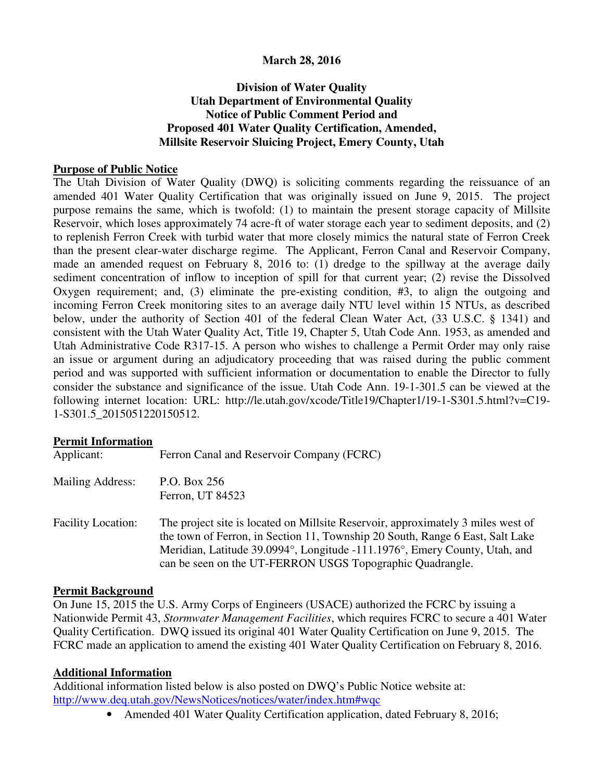# **March 28, 2016**

# **Division of Water Quality Utah Department of Environmental Quality Notice of Public Comment Period and Proposed 401 Water Quality Certification, Amended, Millsite Reservoir Sluicing Project, Emery County, Utah**

#### **Purpose of Public Notice**

The Utah Division of Water Quality (DWQ) is soliciting comments regarding the reissuance of an amended 401 Water Quality Certification that was originally issued on June 9, 2015. The project purpose remains the same, which is twofold: (1) to maintain the present storage capacity of Millsite Reservoir, which loses approximately 74 acre-ft of water storage each year to sediment deposits, and (2) to replenish Ferron Creek with turbid water that more closely mimics the natural state of Ferron Creek than the present clear-water discharge regime. The Applicant, Ferron Canal and Reservoir Company, made an amended request on February 8, 2016 to: (1) dredge to the spillway at the average daily sediment concentration of inflow to inception of spill for that current year; (2) revise the Dissolved Oxygen requirement; and, (3) eliminate the pre-existing condition, #3, to align the outgoing and incoming Ferron Creek monitoring sites to an average daily NTU level within 15 NTUs, as described below, under the authority of Section 401 of the federal Clean Water Act, (33 U.S.C. § 1341) and consistent with the Utah Water Quality Act, Title 19, Chapter 5, Utah Code Ann. 1953, as amended and Utah Administrative Code R317-15. A person who wishes to challenge a Permit Order may only raise an issue or argument during an adjudicatory proceeding that was raised during the public comment period and was supported with sufficient information or documentation to enable the Director to fully consider the substance and significance of the issue. Utah Code Ann. 19-1-301.5 can be viewed at the following internet location: URL: http://le.utah.gov/xcode/Title19/Chapter1/19-1-S301.5.html?v=C19- 1-S301.5\_2015051220150512.

### **Permit Information**

| Applicant:                | Ferron Canal and Reservoir Company (FCRC)                                                                                                                                                                                                                                                                    |
|---------------------------|--------------------------------------------------------------------------------------------------------------------------------------------------------------------------------------------------------------------------------------------------------------------------------------------------------------|
| Mailing Address:          | P.O. Box 256<br>Ferron, UT 84523                                                                                                                                                                                                                                                                             |
| <b>Facility Location:</b> | The project site is located on Millsite Reservoir, approximately 3 miles west of<br>the town of Ferron, in Section 11, Township 20 South, Range 6 East, Salt Lake<br>Meridian, Latitude 39.0994°, Longitude -111.1976°, Emery County, Utah, and<br>can be seen on the UT-FERRON USGS Topographic Quadrangle. |

### **Permit Background**

On June 15, 2015 the U.S. Army Corps of Engineers (USACE) authorized the FCRC by issuing a Nationwide Permit 43, *Stormwater Management Facilities*, which requires FCRC to secure a 401 Water Quality Certification. DWQ issued its original 401 Water Quality Certification on June 9, 2015. The FCRC made an application to amend the existing 401 Water Quality Certification on February 8, 2016.

### **Additional Information**

Additional information listed below is also posted on DWQ's Public Notice website at: http://www.deq.utah.gov/NewsNotices/notices/water/index.htm#wqc

• Amended 401 Water Quality Certification application, dated February 8, 2016;